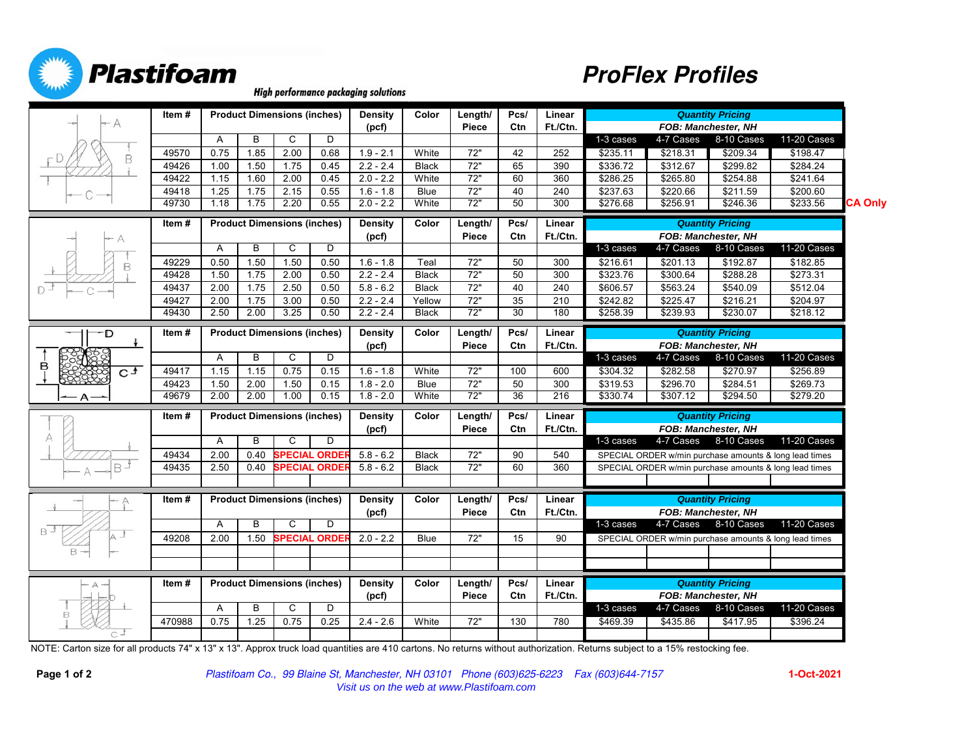



**High performance packaging solutions** 

|              | Item#  |                                    |      | <b>Product Dimensions (inches)</b> |                      | Density        | Color                                                | Length/         | Pcs/ | Linear   | <b>Quantity Pricing</b>    |                            |                                                        |                                                        |                |  |
|--------------|--------|------------------------------------|------|------------------------------------|----------------------|----------------|------------------------------------------------------|-----------------|------|----------|----------------------------|----------------------------|--------------------------------------------------------|--------------------------------------------------------|----------------|--|
|              |        |                                    |      |                                    |                      | (pcf)          |                                                      | Piece           | Ctn  | Ft./Ctn. |                            | <b>FOB: Manchester, NH</b> |                                                        |                                                        |                |  |
|              |        | A                                  | B    | C                                  | D                    |                |                                                      |                 |      |          | 1-3 cases                  | 4-7 Cases                  | 8-10 Cases                                             | 11-20 Cases                                            |                |  |
| В            | 49570  | 0.75                               | 1.85 | 2.00                               | 0.68                 | $1.9 - 2.1$    | White                                                | 72"             | 42   | 252      | \$235.11                   | \$218.31                   | \$209.34                                               | \$198.47                                               |                |  |
|              | 49426  | 1.00                               | 1.50 | 1.75                               | 0.45                 | $2.2 - 2.4$    | <b>Black</b>                                         | 72"             | 65   | 390      | \$336.72                   | \$312.67                   | \$299.82                                               | \$284.24                                               |                |  |
|              | 49422  | 1.15                               | 1.60 | 2.00                               | 0.45                 | $2.0 - 2.2$    | White                                                | $\overline{72}$ | 60   | 360      | $\overline{$}286.25$       | \$265.80                   | \$254.88                                               | $\sqrt{$241.64}$                                       |                |  |
|              | 49418  | 1.25                               | 1.75 | 2.15                               | 0.55                 | $1.6 - 1.8$    | <b>Blue</b>                                          | 72"             | 40   | 240      | \$237.63                   | \$220.66                   | \$211.59                                               | \$200.60                                               |                |  |
|              | 49730  | 1.18                               | 1.75 | 2.20                               | 0.55                 | $2.0 - 2.2$    | White                                                | 72"             | 50   | 300      | \$276.68                   | \$256.91                   | \$246.36                                               | \$233.56                                               | <b>CA Only</b> |  |
|              | Item#  |                                    |      | <b>Product Dimensions (inches)</b> |                      | <b>Density</b> | Color                                                | Length/         | Pcs/ | Linear   | <b>Quantity Pricing</b>    |                            |                                                        |                                                        |                |  |
|              |        |                                    |      |                                    |                      | (pcf)          |                                                      | Piece           | Ctn  | Ft./Ctn. | FOB: Manchester, NH        |                            |                                                        |                                                        |                |  |
|              |        | A                                  | В    | C                                  | D                    |                |                                                      |                 |      |          | 1-3 cases                  | 4-7 Cases                  | 8-10 Cases                                             | 11-20 Cases                                            |                |  |
| B            | 49229  | 0.50                               | 1.50 | 1.50                               | 0.50                 | $1.6 - 1.8$    | Teal                                                 | 72"             | 50   | 300      | \$216.61                   | \$201.13                   | \$192.87                                               | \$182.85                                               |                |  |
|              | 49428  | 1.50                               | 1.75 | 2.00                               | 0.50                 | $2.2 - 2.4$    | <b>Black</b>                                         | 72"             | 50   | 300      | \$323.76                   | \$300.64                   | \$288.28                                               | \$273.31                                               |                |  |
|              | 49437  | 2.00                               | 1.75 | 2.50                               | 0.50                 | $5.8 - 6.2$    | <b>Black</b>                                         | 72"             | 40   | 240      | \$606.57                   | \$563.24                   | \$540.09                                               | \$512.04                                               |                |  |
|              | 49427  | 2.00                               | 1.75 | 3.00                               | 0.50                 | $2.2 - 2.4$    | Yellow                                               | 72"             | 35   | 210      | \$242.82                   | \$225.47                   | \$216.21                                               | \$204.97                                               |                |  |
|              | 49430  | 2.50                               | 2.00 | 3.25                               | 0.50                 | $2.2 - 2.4$    | <b>Black</b>                                         | 72"             | 30   | 180      | \$258.39                   | \$239.93                   | \$230.07                                               | \$218.12                                               |                |  |
| D-           | Item#  |                                    |      | <b>Product Dimensions (inches)</b> |                      | Density        | Color                                                | Length/         | Pcs/ | Linear   | <b>Quantity Pricing</b>    |                            |                                                        |                                                        |                |  |
|              |        |                                    |      |                                    |                      | (pcf)          | Ft./Ctn.<br>FOB: Manchester, NH<br>Piece<br>Ctn      |                 |      |          |                            |                            |                                                        |                                                        |                |  |
|              |        | A                                  | B    | C                                  | D                    |                |                                                      |                 |      |          | 1-3 cases                  | 4-7 Cases                  | 8-10 Cases                                             | 11-20 Cases                                            |                |  |
| в<br>$C_{+}$ | 49417  | 1.15                               | 1.15 | 0.75                               | 0.15                 | $1.6 - 1.8$    | White                                                | 72"             | 100  | 600      | \$304.32                   | \$282.58                   | \$270.97                                               | \$256.89                                               |                |  |
|              | 49423  | 1.50                               | 2.00 | 1.50                               | 0.15                 | $1.8 - 2.0$    | Blue                                                 | 72"             | 50   | 300      | \$319.53                   | \$296.70                   | \$284.51                                               | \$269.73                                               |                |  |
| А            | 49679  | 2.00                               | 2.00 | 1.00                               | 0.15                 | $1.8 - 2.0$    | White                                                | 72"             | 36   | 216      | \$330.74                   | \$307.12                   | \$294.50                                               | \$279.20                                               |                |  |
|              | Item # | <b>Product Dimensions (inches)</b> |      |                                    |                      |                | Length/<br>Pcs/<br><b>Density</b><br>Color<br>Linear |                 |      |          |                            | <b>Quantity Pricing</b>    |                                                        |                                                        |                |  |
|              |        |                                    |      |                                    |                      | (pcf)          |                                                      | Piece           | Ctn  | Ft./Ctn. | <b>FOB: Manchester, NH</b> |                            |                                                        |                                                        |                |  |
| А            |        | A                                  | B    | C                                  | D                    |                |                                                      |                 |      |          | 1-3 cases                  |                            | 4-7 Cases 8-10 Cases                                   | 11-20 Cases                                            |                |  |
|              | 49434  | 2.00                               | 0.40 |                                    | <b>SPECIAL ORDE</b>  | $5.8 - 6.2$    | <b>Black</b>                                         | 72"             | 90   | 540      |                            |                            |                                                        | SPECIAL ORDER w/min purchase amounts & long lead times |                |  |
| B            | 49435  |                                    |      |                                    |                      |                |                                                      |                 |      |          |                            |                            |                                                        |                                                        |                |  |
|              |        | 2.50                               | 0.40 | <b>SPECIAL ORDE!</b>               |                      | $5.8 - 6.2$    | <b>Black</b>                                         | $\overline{72}$ | 60   | 360      |                            |                            |                                                        | SPECIAL ORDER w/min purchase amounts & long lead times |                |  |
|              |        |                                    |      |                                    |                      |                |                                                      |                 |      |          |                            |                            |                                                        |                                                        |                |  |
|              |        |                                    |      |                                    |                      |                |                                                      |                 |      |          |                            |                            |                                                        |                                                        |                |  |
|              | Item # |                                    |      | <b>Product Dimensions (inches)</b> |                      | Density        | Color                                                | Length/         | Pcs/ | Linear   |                            |                            | <b>Quantity Pricing</b>                                |                                                        |                |  |
|              |        | A                                  | B    | C                                  | D                    | (pcf)          |                                                      | Piece           | Ctn  | Ft./Ctn. | 1-3 cases                  | 4-7 Cases                  | FOB: Manchester, NH<br>8-10 Cases                      |                                                        |                |  |
|              | 49208  | 2.00                               | 1.50 |                                    | <b>SPECIAL ORDEI</b> | $2.0 - 2.2$    | <b>Blue</b>                                          | 72"             | 15   | 90       |                            |                            |                                                        | <b>11-20 Cases</b>                                     |                |  |
|              |        |                                    |      |                                    |                      |                |                                                      |                 |      |          |                            |                            | SPECIAL ORDER w/min purchase amounts & long lead times |                                                        |                |  |
|              |        |                                    |      |                                    |                      |                |                                                      |                 |      |          |                            |                            |                                                        |                                                        |                |  |
|              |        |                                    |      |                                    |                      |                |                                                      |                 |      |          |                            |                            |                                                        |                                                        |                |  |
| $A -$        | Item#  |                                    |      | <b>Product Dimensions (inches)</b> |                      | Density        | Color                                                | Length/         | Pcs/ | Linear   |                            |                            | <b>Quantity Pricing</b>                                |                                                        |                |  |
|              |        | A                                  | B    | C                                  | D                    | (pcf)          |                                                      | Piece           | Ctn  | Ft./Ctn. |                            |                            | <b>FOB: Manchester, NH</b>                             |                                                        |                |  |
|              | 470988 | 0.75                               | 1.25 | 0.75                               | 0.25                 | $2.4 - 2.6$    | White                                                | $\overline{72}$ | 130  | 780      | 1-3 cases<br>\$469.39      | 4-7 Cases<br>\$435.86      | 8-10 Cases<br>\$417.95                                 | 11-20 Cases<br>\$396.24                                |                |  |

NOTE: Carton size for all products 74" x 13" x 13". Approx truck load quantities are 410 cartons. No returns without authorization. Returns subject to a 15% restocking fee.